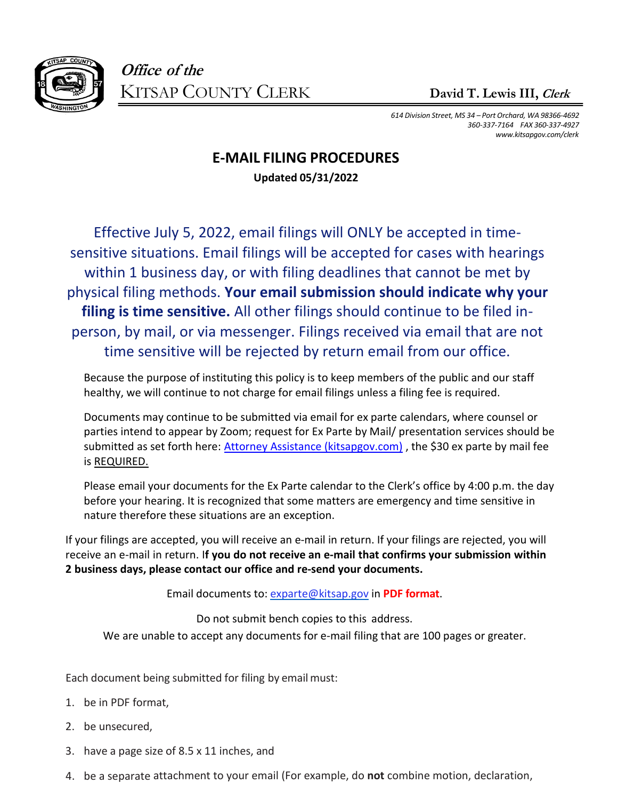

*614 Division Street, MS 34 – Port Orchard, WA 98366‐4692 360‐337‐7164 FAX 360‐337‐4927 [www.kitsapgov.com/clerk](http://www.kitsapgov.com/clerk)*

## **E-MAIL FILING PROCEDURES Updated 05/31/2022**

Effective July 5, 2022, email filings will ONLY be accepted in timesensitive situations. Email filings will be accepted for cases with hearings within 1 business day, or with filing deadlines that cannot be met by physical filing methods. **Your email submission should indicate why your filing is time sensitive.** All other filings should continue to be filed inperson, by mail, or via messenger. Filings received via email that are not time sensitive will be rejected by return email from our office.

Because the purpose of instituting this policy is to keep members of the public and our staff healthy, we will continue to not charge for email filings unless a filing fee is required.

Documents may continue to be submitted via email for ex parte calendars, where counsel or parties intend to appear by Zoom; request for Ex Parte by Mail/ presentation services should be submitted as set forth here: [Attorney Assistance \(kitsapgov.com\)](https://www.kitsapgov.com/clerk/Pages/Attorney-Assistance.aspx), the \$30 ex parte by mail fee is REQUIRED.

Please email your documents for the Ex Parte calendar to the Clerk's office by 4:00 p.m. the day before your hearing. It is recognized that some matters are emergency and time sensitive in nature therefore these situations are an exception.

If your filings are accepted, you will receive an e-mail in return. If your filings are rejected, you will receive an e-mail in return. I**f you do not receive an e-mail that confirms your submission within 2 business days, please contact our office and re-send your documents.**

Email documents to: [exparte@kitsap.gov](mailto:exparte@kitsap.gov) in **PDF format**.

Do not submit bench copies to this address. We are unable to accept any documents for e-mail filing that are 100 pages or greater.

Each document being submitted for filing by email must:

- 1. be in PDF format,
- 2. be unsecured,
- 3. have a page size of 8.5 x 11 inches, and
- 4. be a separate attachment to your email (For example, do **not** combine motion, declaration,